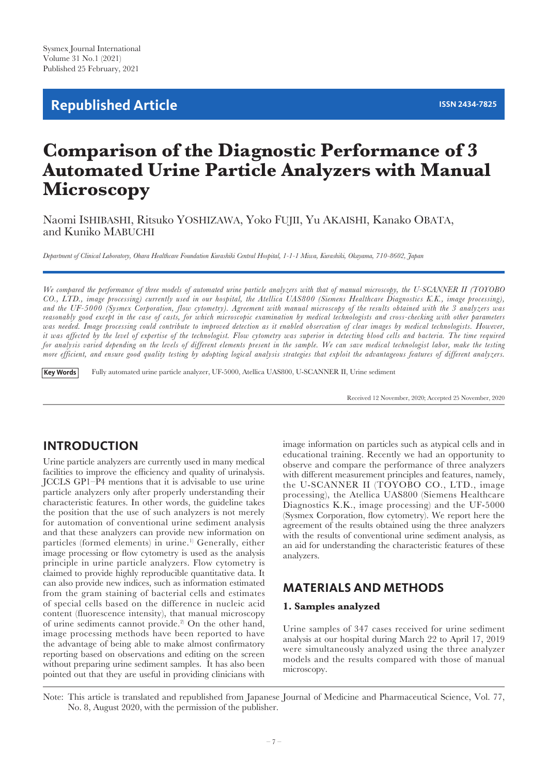# **Republished Article ISSN 2434-7825**

# **Comparison of the Diagnostic Performance of 3 Automated Urine Particle Analyzers with Manual Microscopy**

Naomi ISHIBASHI, Ritsuko YOSHIZAWA, Yoko FUJII, Yu AKAISHI, Kanako OBATA, and Kuniko MABUCHI

*Department of Clinical Laboratory, Ohara Healthcare Foundation Kurashiki Central Hospital, 1-1-1 Miwa, Kurashiki, Okayama, 710-8602, Japan*

*We compared the performance of three models of automated urine particle analyzers with that of manual microscopy, the U-SCANNER II (TOYOBO CO., LTD., image processing) currently used in our hospital, the Atellica UAS800 (Siemens Healthcare Diagnostics K.K., image processing), and the UF-5000 (Sysmex Corporation, flow cytometry). Agreement with manual microscopy of the results obtained with the 3 analyzers was reasonably good except in the case of casts, for which microscopic examination by medical technologists and cross-checking with other parameters*  was needed. Image processing could contribute to improved detection as it enabled observation of clear images by medical technologists. However, *it was affected by the level of expertise of the technologist. Flow cytometry was superior in detecting blood cells and bacteria. The time required for analysis varied depending on the levels of different elements present in the sample. We can save medical technologist labor, make the testing more efficient, and ensure good quality testing by adopting logical analysis strategies that exploit the advantageous features of different analyzers.*

Fully automated urine particle analyzer, UF-5000, Atellica UAS800, U-SCANNER II, Urine sediment **Key Words**

Received 12 November, 2020; Accepted 25 November, 2020

## **INTRODUCTION**

Urine particle analyzers are currently used in many medical facilities to improve the efficiency and quality of urinalysis. JCCLS GP1–P4 mentions that it is advisable to use urine particle analyzers only after properly understanding their characteristic features. In other words, the guideline takes the position that the use of such analyzers is not merely for automation of conventional urine sediment analysis and that these analyzers can provide new information on particles (formed elements) in urine.<sup>1)</sup> Generally, either image processing or flow cytometry is used as the analysis principle in urine particle analyzers. Flow cytometry is claimed to provide highly reproducible quantitative data. It can also provide new indices, such as information estimated from the gram staining of bacterial cells and estimates of special cells based on the difference in nucleic acid content (fluorescence intensity), that manual microscopy of urine sediments cannot provide.<sup>2)</sup> On the other hand, image processing methods have been reported to have the advantage of being able to make almost confirmatory reporting based on observations and editing on the screen without preparing urine sediment samples. It has also been pointed out that they are useful in providing clinicians with

image information on particles such as atypical cells and in educational training. Recently we had an opportunity to observe and compare the performance of three analyzers with different measurement principles and features, namely, the U-SCANNER II (TOYOBO CO., LTD., image processing), the Atellica UAS800 (Siemens Healthcare Diagnostics K.K., image processing) and the UF-5000 (Sysmex Corporation, flow cytometry). We report here the agreement of the results obtained using the three analyzers with the results of conventional urine sediment analysis, as an aid for understanding the characteristic features of these analyzers.

## **MATERIALS AND METHODS**

#### **1. Samples analyzed**

Urine samples of 347 cases received for urine sediment analysis at our hospital during March 22 to April 17, 2019 were simultaneously analyzed using the three analyzer models and the results compared with those of manual microscopy.

Note: This article is translated and republished from Japanese Journal of Medicine and Pharmaceutical Science, Vol. 77, No. 8, August 2020, with the permission of the publisher.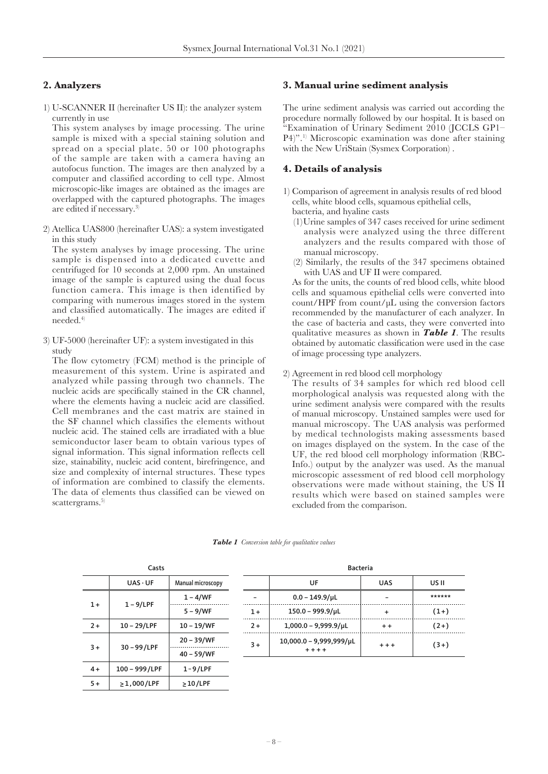### **2. Analyzers**

1) U-SCANNER II (hereinafter US II): the analyzer system currently in use

This system analyses by image processing. The urine sample is mixed with a special staining solution and spread on a special plate. 50 or 100 photographs of the sample are taken with a camera having an autofocus function. The images are then analyzed by a computer and classified according to cell type. Almost microscopic-like images are obtained as the images are overlapped with the captured photographs. The images are edited if necessary.<sup>3)</sup>

2) Atellica UAS800 (hereinafter UAS): a system investigated in this study

The system analyses by image processing. The urine sample is dispensed into a dedicated cuvette and centrifuged for 10 seconds at 2,000 rpm. An unstained image of the sample is captured using the dual focus function camera. This image is then identified by comparing with numerous images stored in the system and classified automatically. The images are edited if needed.4)

3) UF-5000 (hereinafter UF): a system investigated in this study

The flow cytometry (FCM) method is the principle of measurement of this system. Urine is aspirated and analyzed while passing through two channels. The nucleic acids are specifically stained in the CR channel, where the elements having a nucleic acid are classified. Cell membranes and the cast matrix are stained in the SF channel which classifies the elements without nucleic acid. The stained cells are irradiated with a blue semiconductor laser beam to obtain various types of signal information. This signal information reflects cell size, stainability, nucleic acid content, birefringence, and size and complexity of internal structures. These types of information are combined to classify the elements. The data of elements thus classified can be viewed on scattergrams.<sup>5)</sup>

#### **3. Manual urine sediment analysis**

The urine sediment analysis was carried out according the procedure normally followed by our hospital. It is based on "Examination of Urinary Sediment 2010 (JCCLS GP1-P4)".1) Microscopic examination was done after staining with the New UriStain (Sysmex Corporation) .

#### **4. Details of analysis**

- 1) Comparison of agreement in analysis results of red blood cells, white blood cells, squamous epithelial cells, bacteria, and hyaline casts
	- (1)Urine samples of 347 cases received for urine sediment analysis were analyzed using the three different analyzers and the results compared with those of manual microscopy.
	- (2) Similarly, the results of the 347 specimens obtained with UAS and UF II were compared.

As for the units, the counts of red blood cells, white blood cells and squamous epithelial cells were converted into count/HPF from count/µL using the conversion factors recommended by the manufacturer of each analyzer. In the case of bacteria and casts, they were converted into qualitative measures as shown in *Table 1*. The results obtained by automatic classification were used in the case of image processing type analyzers.

2) Agreement in red blood cell morphology

The results of 34 samples for which red blood cell morphological analysis was requested along with the urine sediment analysis were compared with the results of manual microscopy. Unstained samples were used for manual microscopy. The UAS analysis was performed by medical technologists making assessments based on images displayed on the system. In the case of the UF, the red blood cell morphology information (RBC-Info.) output by the analyzer was used. As the manual microscopic assessment of red blood cell morphology observations were made without staining, the US II results which were based on stained samples were excluded from the comparison.

| Casts                 |                |                   |  |  |
|-----------------------|----------------|-------------------|--|--|
|                       | $UAS \cdot UF$ | Manual microscopy |  |  |
|                       |                | 1 – 4/WF          |  |  |
| $1 - 9$ /LPF<br>$1 +$ |                | $5 - 9/WF$        |  |  |
| $2+$                  | 10 – 29/LPF    | 10 – 19/WF        |  |  |
| 30-99/LPF<br>$3+$     |                | 20 – 39/WF        |  |  |
|                       |                | 40 - 59/WF        |  |  |
| $4+$                  | 100 - 999/LPF  | $1 - 9$ /LPF      |  |  |
| 5+                    | $>1,000$ /LPF  | >10/LPF           |  |  |

*Table 1 Conversion table for qualitative values*

| Bacteria |                                           |            |        |  |
|----------|-------------------------------------------|------------|--------|--|
|          | UF                                        | <b>UAS</b> | US II  |  |
|          | $0.0 - 149.9/\mu L$                       |            | ****** |  |
| $1+$     | $150.0 - 999.9/\mu L$                     | +          | $(1+)$ |  |
| $2+$     | $1,000.0 - 9,999.9/\mu L$                 | $+ +$      | $(2+)$ |  |
| $3+$     | $10,000.0 - 9,999,999/\mu L$<br>$+ + + +$ | $+ + +$    | $(3+)$ |  |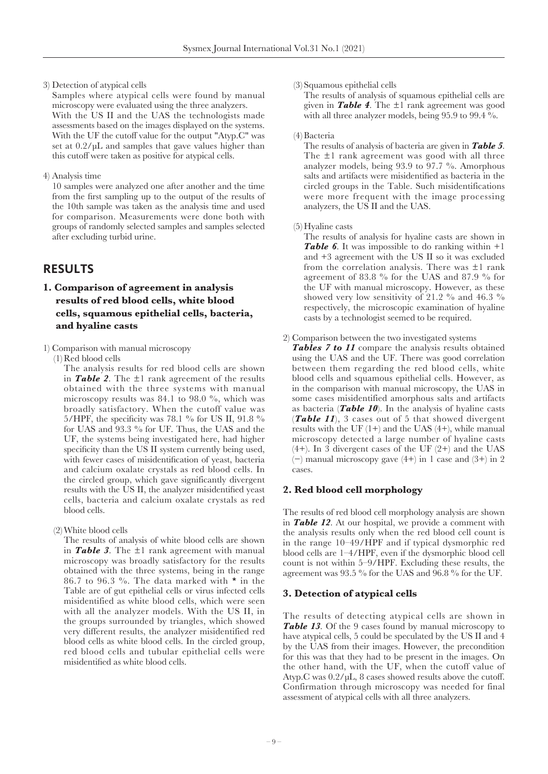3) Detection of atypical cells

Samples where atypical cells were found by manual microscopy were evaluated using the three analyzers. With the US II and the UAS the technologists made assessments based on the images displayed on the systems. With the UF the cutoff value for the output "Atyp.C" was set at 0.2/µL and samples that gave values higher than this cutoff were taken as positive for atypical cells.

4) Analysis time

10 samples were analyzed one after another and the time from the first sampling up to the output of the results of the 10th sample was taken as the analysis time and used for comparison. Measurements were done both with groups of randomly selected samples and samples selected after excluding turbid urine.

## **RESULTS**

## **1. Comparison of agreement in analysis results of red blood cells, white blood cells, squamous epithelial cells, bacteria, and hyaline casts**

1) Comparison with manual microscopy

(1) Red blood cells

The analysis results for red blood cells are shown in **Table 2**. The  $\pm 1$  rank agreement of the results obtained with the three systems with manual microscopy results was 84.1 to 98.0 %, which was broadly satisfactory. When the cutoff value was 5/HPF, the specificity was 78.1 % for US II, 91.8 % for UAS and 93.3 % for UF. Thus, the UAS and the UF, the systems being investigated here, had higher specificity than the US II system currently being used, with fewer cases of misidentification of yeast, bacteria and calcium oxalate crystals as red blood cells. In the circled group, which gave significantly divergent results with the US II, the analyzer misidentified yeast cells, bacteria and calcium oxalate crystals as red blood cells.

(2)White blood cells

The results of analysis of white blood cells are shown in *Table 3*. The ±1 rank agreement with manual microscopy was broadly satisfactory for the results obtained with the three systems, being in the range 86.7 to 96.3 %. The data marked with \* in the Table are of gut epithelial cells or virus infected cells misidentified as white blood cells, which were seen with all the analyzer models. With the US II, in the groups surrounded by triangles, which showed very different results, the analyzer misidentified red blood cells as white blood cells. In the circled group, red blood cells and tubular epithelial cells were misidentified as white blood cells.

#### (3) Squamous epithelial cells

The results of analysis of squamous epithelial cells are given in *Table 4*. The ±1 rank agreement was good with all three analyzer models, being 95.9 to 99.4 %.

#### (4) Bacteria

The results of analysis of bacteria are given in *Table 5*. The ±1 rank agreement was good with all three analyzer models, being 93.9 to 97.7 %. Amorphous salts and artifacts were misidentified as bacteria in the circled groups in the Table. Such misidentifications were more frequent with the image processing analyzers, the US II and the UAS.

#### (5) Hyaline casts

The results of analysis for hyaline casts are shown in *Table 6*. It was impossible to do ranking within +1 and +3 agreement with the US II so it was excluded from the correlation analysis. There was ±1 rank agreement of 83.8 % for the UAS and 87.9 % for the UF with manual microscopy. However, as these showed very low sensitivity of 21.2  $\%$  and 46.3  $\%$ respectively, the microscopic examination of hyaline casts by a technologist seemed to be required.

2) Comparison between the two investigated systems

*Tables 7 to 11* compare the analysis results obtained using the UAS and the UF. There was good correlation between them regarding the red blood cells, white blood cells and squamous epithelial cells. However, as in the comparison with manual microscopy, the UAS in some cases misidentified amorphous salts and artifacts as bacteria (*Table 10*). In the analysis of hyaline casts (*Table 11*), 3 cases out of 5 that showed divergent results with the UF  $(1+)$  and the UAS  $(4+)$ , while manual microscopy detected a large number of hyaline casts  $(4+)$ . In 3 divergent cases of the UF  $(2+)$  and the UAS  $(-)$  manual microscopy gave  $(4+)$  in 1 case and  $(3+)$  in 2 cases.

### **2. Red blood cell morphology**

The results of red blood cell morphology analysis are shown in *Table 12*. At our hospital, we provide a comment with the analysis results only when the red blood cell count is in the range 10–49/HPF and if typical dysmorphic red blood cells are 1–4/HPF, even if the dysmorphic blood cell count is not within 5–9/HPF. Excluding these results, the agreement was 93.5 % for the UAS and 96.8 % for the UF.

#### **3. Detection of atypical cells**

The results of detecting atypical cells are shown in **Table 13.** Of the 9 cases found by manual microscopy to have atypical cells, 5 could be speculated by the US II and 4 by the UAS from their images. However, the precondition for this was that they had to be present in the images. On the other hand, with the UF, when the cutoff value of Atyp.C was 0.2/µL, 8 cases showed results above the cutoff. Confirmation through microscopy was needed for final assessment of atypical cells with all three analyzers.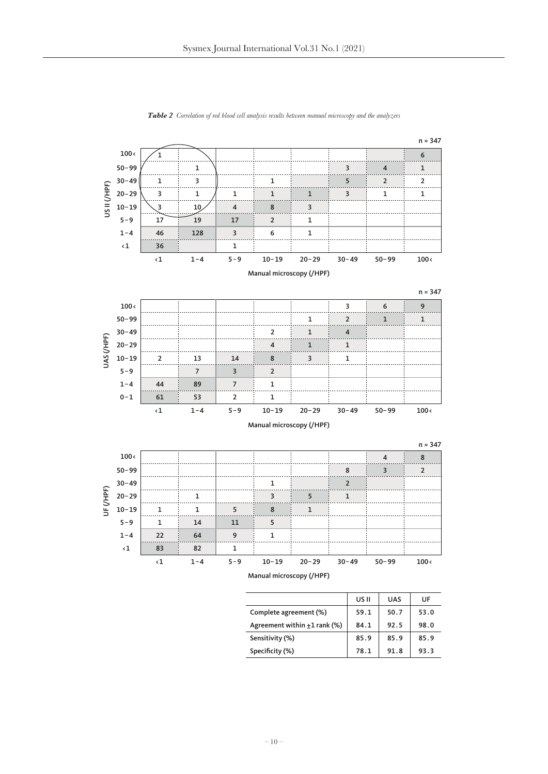

*Table 2 Correlation of red blood cell analysis results between manual microscopy and the analyzers*

|                                   | US II | <b>UAS</b> | UF   |
|-----------------------------------|-------|------------|------|
| Complete agreement (%)            | 59.1  | 50.7       | 53.0 |
| Agreement within $\pm 1$ rank (%) | 84.1  | 92.5       | 98.0 |
| Sensitivity (%)                   | 85.9  | 85.9       | 85.9 |
| Specificity (%)                   | 78.1  | 91.8       | 93.3 |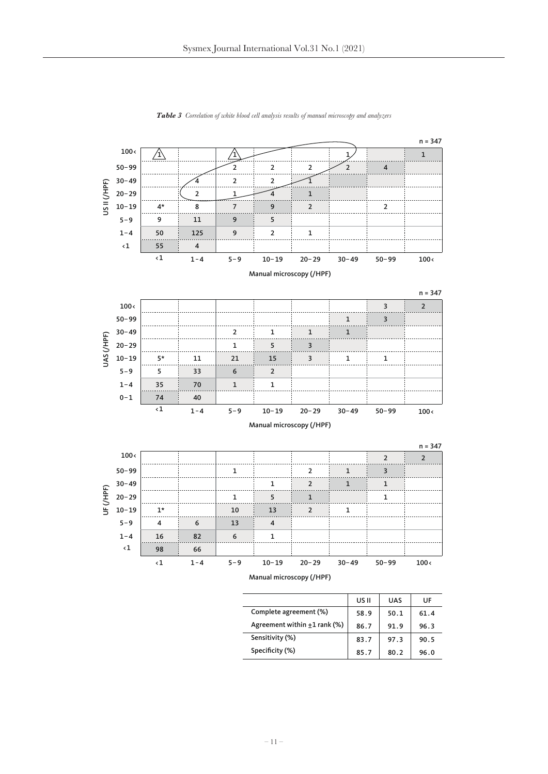

*Table 3 Correlation of white blood cell analysis results of manual microscopy and analyzers*

|                                   | US II | <b>UAS</b> | UF   |
|-----------------------------------|-------|------------|------|
| Complete agreement (%)            | 58.9  | 50.1       | 61.4 |
| Agreement within $\pm 1$ rank (%) | 86.7  | 91.9       | 96.3 |
| Sensitivity (%)                   | 83.7  | 97.3       | 90.5 |
| Specificity (%)                   | 85.7  | 80.2       | 96.0 |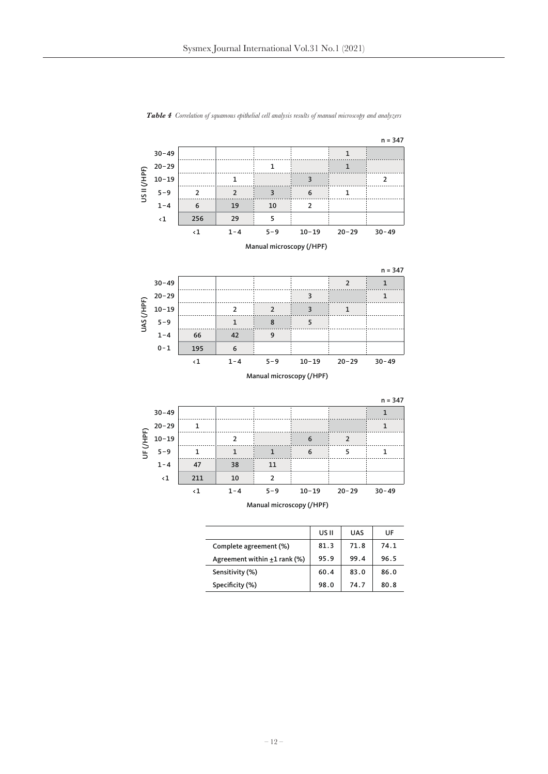



|                                   | US II | <b>UAS</b> | UF   |
|-----------------------------------|-------|------------|------|
| Complete agreement (%)            | 81.3  | 71.8       | 74.1 |
| Agreement within $\pm 1$ rank (%) | 95.9  | 99.4       | 96.5 |
| Sensitivity (%)                   | 60.4  | 83.0       | 86.0 |
| Specificity (%)                   | 98.0  | 74.7       | 80.8 |
|                                   |       |            |      |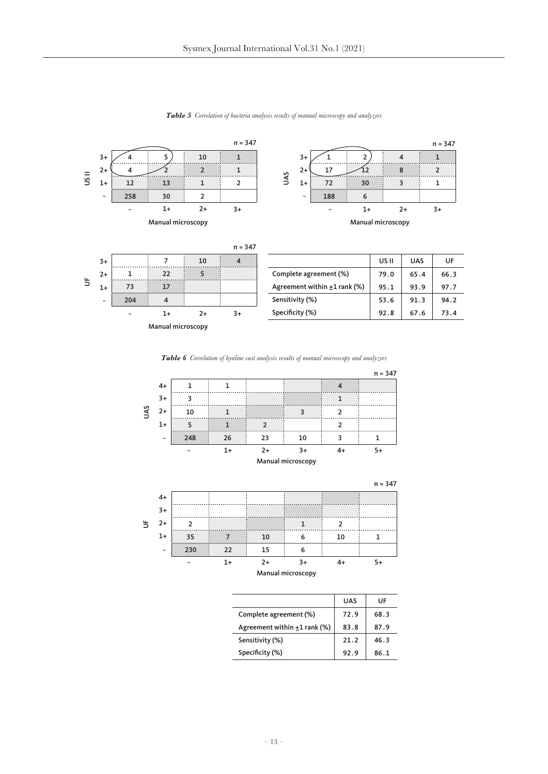

*Table 5 Correlation of bacteria analysis results of manual microscopy and analyzers*







|                                   | UAS  | UF   |
|-----------------------------------|------|------|
| Complete agreement (%)            | 72.9 | 68.3 |
| Agreement within $\pm 1$ rank (%) | 83.8 | 87.9 |
| Sensitivity (%)                   | 21.2 | 46.3 |
| Specificity (%)                   | 92.9 | 86.1 |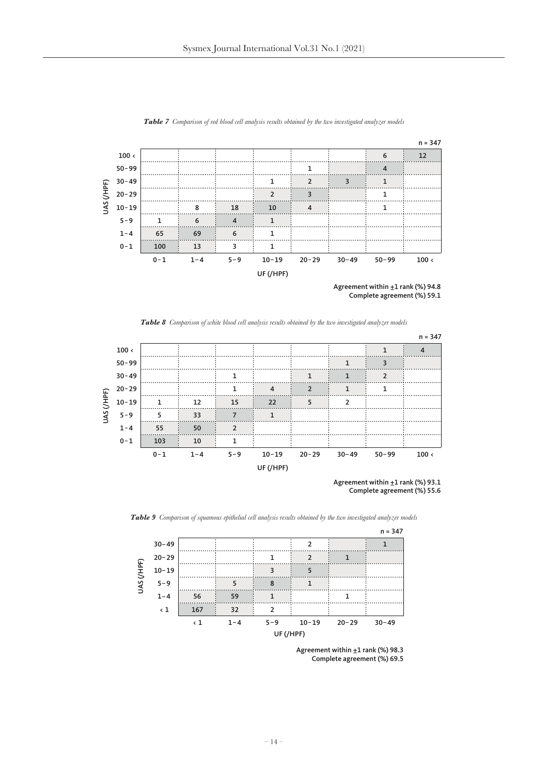

*Table 7 Comparison of red blood cell analysis results obtained by the two investigated analyzer models*

Agreement within  $±1$  rank (%) 94.8 Complete agreement (%) 59.1

*Table 8 Comparison of white blood cell analysis results obtained by the two investigated analyzer models*



Agreement within  $\pm 1$  rank (%) 93.1 Complete agreement (%) 55.6



*Table 9 Comparison of squamous epithelial cell analysis results obtained by the two investigated analyzer models*

Agreement within ±1 rank (%) 98.3 Complete agreement (%) 69.5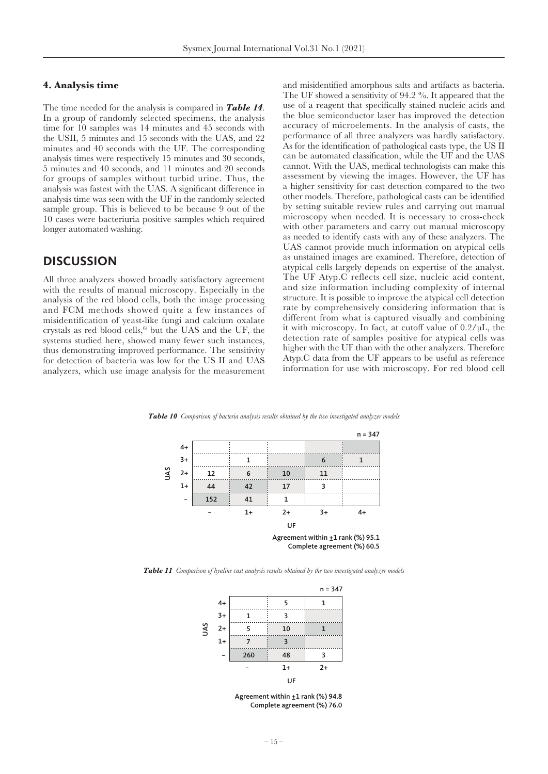#### **4. Analysis time**

The time needed for the analysis is compared in *Table 14*. In a group of randomly selected specimens, the analysis time for 10 samples was 14 minutes and 45 seconds with the USII, 5 minutes and 15 seconds with the UAS, and 22 minutes and 40 seconds with the UF. The corresponding analysis times were respectively 15 minutes and 30 seconds, 5 minutes and 40 seconds, and 11 minutes and 20 seconds for groups of samples without turbid urine. Thus, the analysis was fastest with the UAS. A significant difference in analysis time was seen with the UF in the randomly selected sample group. This is believed to be because 9 out of the 10 cases were bacteriuria positive samples which required longer automated washing.

## **DISCUSSION**

All three analyzers showed broadly satisfactory agreement with the results of manual microscopy. Especially in the analysis of the red blood cells, both the image processing and FCM methods showed quite a few instances of misidentification of yeast-like fungi and calcium oxalate crystals as red blood cells, $6$  but the UAS and the UF, the systems studied here, showed many fewer such instances, thus demonstrating improved performance. The sensitivity for detection of bacteria was low for the US II and UAS analyzers, which use image analysis for the measurement and misidentified amorphous salts and artifacts as bacteria. The UF showed a sensitivity of 94.2 %. It appeared that the use of a reagent that specifically stained nucleic acids and the blue semiconductor laser has improved the detection accuracy of microelements. In the analysis of casts, the performance of all three analyzers was hardly satisfactory. As for the identification of pathological casts type, the US II can be automated classification, while the UF and the UAS cannot. With the UAS, medical technologists can make this assessment by viewing the images. However, the UF has a higher sensitivity for cast detection compared to the two other models. Therefore, pathological casts can be identified by setting suitable review rules and carrying out manual microscopy when needed. It is necessary to cross-check with other parameters and carry out manual microscopy as needed to identify casts with any of these analyzers. The UAS cannot provide much information on atypical cells as unstained images are examined. Therefore, detection of atypical cells largely depends on expertise of the analyst. The UF Atyp.C reflects cell size, nucleic acid content, and size information including complexity of internal structure. It is possible to improve the atypical cell detection rate by comprehensively considering information that is different from what is captured visually and combining it with microscopy. In fact, at cutoff value of 0.2/µL, the detection rate of samples positive for atypical cells was higher with the UF than with the other analyzers. Therefore Atyp.C data from the UF appears to be useful as reference information for use with microscopy. For red blood cell

UAS 1 6 1 12 6 10 11 44 42 17 3 152 41 1 UF  $n = 347$ 3+ 4+ 2+ 1+ − − 1+ 2+ 3+ 4+ Agreement within  $\pm 1$  rank (%) 95.1 Complete agreement (%) 60.5

*Table 10 Comparison of bacteria analysis results obtained by the two investigated analyzer models*

*Table 11 Comparison of hyaline cast analysis results obtained by the two investigated analyzer models*



Agreement within  $\pm 1$  rank (%) 94.8 Complete agreement (%) 76.0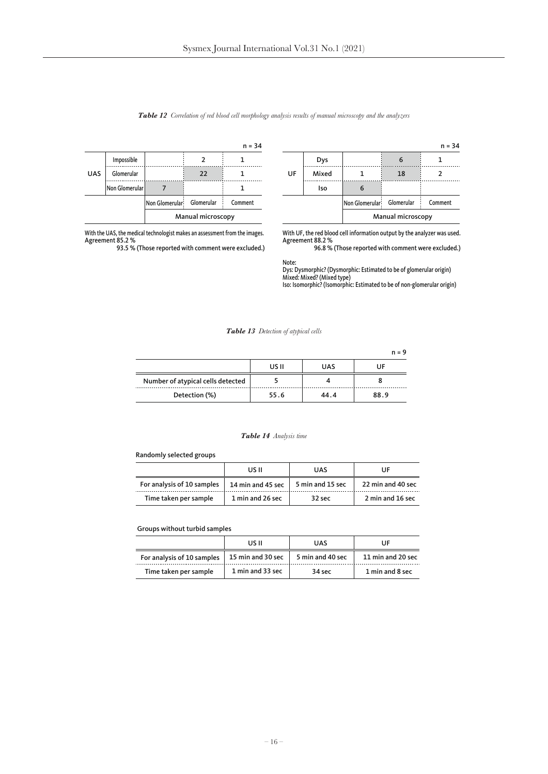|            |                |                            |                   | $n = 34$ |
|------------|----------------|----------------------------|-------------------|----------|
|            | Impossible     |                            |                   |          |
| <b>UAS</b> | Glomerular     |                            | 22                |          |
|            | Non Glomerular |                            |                   |          |
|            |                | Non Glomerular: Glomerular |                   | Comment  |
|            |                |                            | Manual microscopy |          |

With the UAS, the medical technologist makes an assessment from the images. Agreement 85.2 % 93.5 % (Those reported with comment were excluded.)

*Table 12 Correlation of red blood cell morphology analysis results of manual microscopy and the analyzers*

UF

With UF, the red blood cell information output by the analyzer was used. Agreement 88.2 % 96.8 % (Those reported with comment were excluded.)

Non Glomerular

Dys 6 1 Mixed 1 18 2

n = 34

Glomerular Comment

Manual microscopy

 $\begin{array}{|c|c|c|c|c|c|c|c|} \hline \text{ } & \text{6} \end{array}$ 

Note: Dys: Dysmorphic? (Dysmorphic: Estimated to be of glomerular origin) Mixed: Mixed? (Mixed type) Iso: Isomorphic? (Isomorphic: Estimated to be of non-glomerular origin)

*Table 13 Detection of atypical cells*

|                                   |       |            | $n = 9$ |
|-----------------------------------|-------|------------|---------|
|                                   | US II | <b>UAS</b> | UF      |
| Number of atypical cells detected |       |            |         |
| Detection (%)                     | 55.6  | 44.4       | 88.9    |

#### *Table 14 Analysis time*

#### Randomly selected groups

|                            | US II             | <b>UAS</b>       | IJF               |
|----------------------------|-------------------|------------------|-------------------|
| For analysis of 10 samples | 14 min and 45 sec | 5 min and 15 sec | 22 min and 40 sec |
| Time taken per sample      | 1 min and 26 sec  | $32$ sec         | 2 min and 16 sec  |

Groups without turbid samples

|                            | US II             | <b>UAS</b>       | UF                |
|----------------------------|-------------------|------------------|-------------------|
| For analysis of 10 samples | 15 min and 30 sec | 5 min and 40 sec | 11 min and 20 sec |
| Time taken per sample      | 1 min and 33 sec  | $34$ sec         | 1 min and 8 sec   |